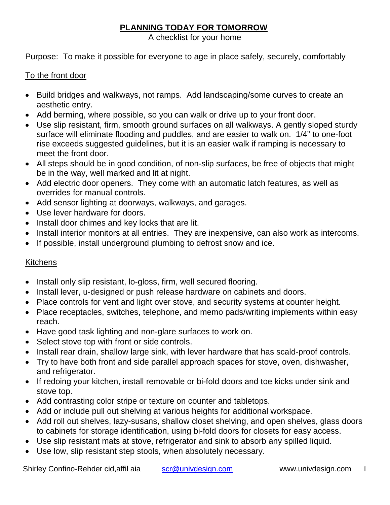# **PLANNING TODAY FOR TOMORROW**

A checklist for your home

Purpose: To make it possible for everyone to age in place safely, securely, comfortably

#### To the front door

- Build bridges and walkways, not ramps. Add landscaping/some curves to create an aesthetic entry.
- Add berming, where possible, so you can walk or drive up to your front door.
- Use slip resistant, firm, smooth ground surfaces on all walkways. A gently sloped sturdy surface will eliminate flooding and puddles, and are easier to walk on. 1/4" to one-foot rise exceeds suggested guidelines, but it is an easier walk if ramping is necessary to meet the front door.
- All steps should be in good condition, of non-slip surfaces, be free of objects that might be in the way, well marked and lit at night.
- Add electric door openers. They come with an automatic latch features, as well as overrides for manual controls.
- Add sensor lighting at doorways, walkways, and garages.
- Use lever hardware for doors.
- Install door chimes and key locks that are lit.
- Install interior monitors at all entries. They are inexpensive, can also work as intercoms.
- If possible, install underground plumbing to defrost snow and ice.

## **Kitchens**

- Install only slip resistant, lo-gloss, firm, well secured flooring.
- Install lever, u-designed or push release hardware on cabinets and doors.
- Place controls for vent and light over stove, and security systems at counter height.
- Place receptacles, switches, telephone, and memo pads/writing implements within easy reach.
- Have good task lighting and non-glare surfaces to work on.
- Select stove top with front or side controls.
- Install rear drain, shallow large sink, with lever hardware that has scald-proof controls.
- Try to have both front and side parallel approach spaces for stove, oven, dishwasher, and refrigerator.
- If redoing your kitchen, install removable or bi-fold doors and toe kicks under sink and stove top.
- Add contrasting color stripe or texture on counter and tabletops.
- Add or include pull out shelving at various heights for additional workspace.
- Add roll out shelves, lazy-susans, shallow closet shelving, and open shelves, glass doors to cabinets for storage identification, using bi-fold doors for closets for easy access.
- Use slip resistant mats at stove, refrigerator and sink to absorb any spilled liquid.
- Use low, slip resistant step stools, when absolutely necessary.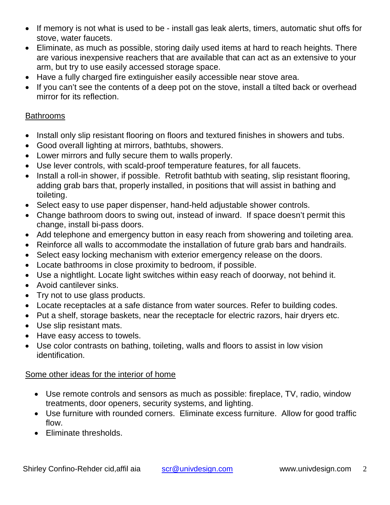- If memory is not what is used to be install gas leak alerts, timers, automatic shut offs for stove, water faucets.
- Eliminate, as much as possible, storing daily used items at hard to reach heights. There are various inexpensive reachers that are available that can act as an extensive to your arm, but try to use easily accessed storage space.
- Have a fully charged fire extinguisher easily accessible near stove area.
- If you can't see the contents of a deep pot on the stove, install a tilted back or overhead mirror for its reflection.

### Bathrooms

- Install only slip resistant flooring on floors and textured finishes in showers and tubs.
- Good overall lighting at mirrors, bathtubs, showers.
- Lower mirrors and fully secure them to walls properly.
- Use lever controls, with scald-proof temperature features, for all faucets.
- Install a roll-in shower, if possible. Retrofit bathtub with seating, slip resistant flooring, adding grab bars that, properly installed, in positions that will assist in bathing and toileting.
- Select easy to use paper dispenser, hand-held adjustable shower controls.
- Change bathroom doors to swing out, instead of inward. If space doesn't permit this change, install bi-pass doors.
- Add telephone and emergency button in easy reach from showering and toileting area.
- Reinforce all walls to accommodate the installation of future grab bars and handrails.
- Select easy locking mechanism with exterior emergency release on the doors.
- Locate bathrooms in close proximity to bedroom, if possible.
- Use a nightlight. Locate light switches within easy reach of doorway, not behind it.
- Avoid cantilever sinks.
- Try not to use glass products.
- Locate receptacles at a safe distance from water sources. Refer to building codes.
- Put a shelf, storage baskets, near the receptacle for electric razors, hair dryers etc.
- Use slip resistant mats.
- Have easy access to towels.
- Use color contrasts on bathing, toileting, walls and floors to assist in low vision identification.

#### Some other ideas for the interior of home

- Use remote controls and sensors as much as possible: fireplace, TV, radio, window treatments, door openers, security systems, and lighting.
- Use furniture with rounded corners. Eliminate excess furniture. Allow for good traffic flow.
- Eliminate thresholds.